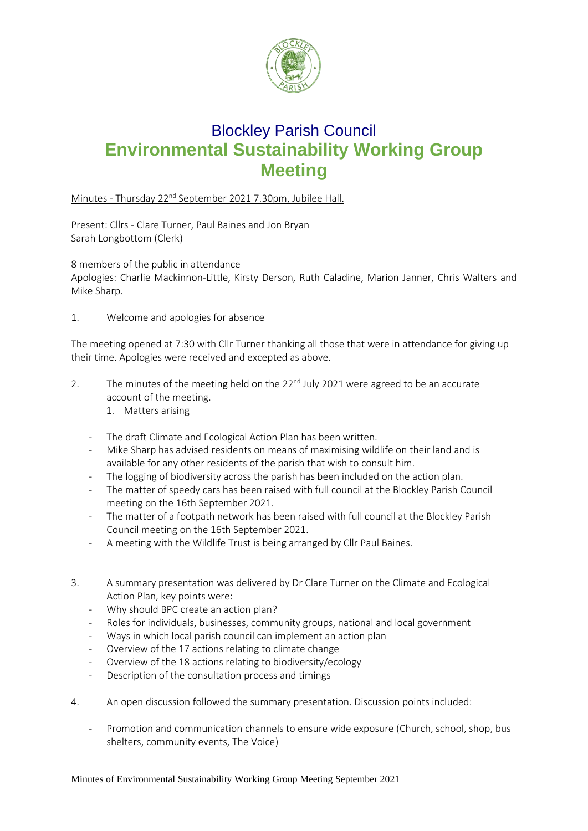

## Blockley Parish Council **Environmental Sustainability Working Group Meeting**

Minutes - Thursday 22<sup>nd</sup> September 2021 7.30pm, Jubilee Hall.

Present: Cllrs - Clare Turner, Paul Baines and Jon Bryan Sarah Longbottom (Clerk)

8 members of the public in attendance Apologies: Charlie Mackinnon-Little, Kirsty Derson, Ruth Caladine, Marion Janner, Chris Walters and Mike Sharp.

1. Welcome and apologies for absence

The meeting opened at 7:30 with Cllr Turner thanking all those that were in attendance for giving up their time. Apologies were received and excepted as above.

- 2. The minutes of the meeting held on the  $22<sup>nd</sup>$  July 2021 were agreed to be an accurate account of the meeting.
	- 1. Matters arising
	- The draft Climate and Ecological Action Plan has been written.
	- Mike Sharp has advised residents on means of maximising wildlife on their land and is available for any other residents of the parish that wish to consult him.
	- The logging of biodiversity across the parish has been included on the action plan.
	- The matter of speedy cars has been raised with full council at the Blockley Parish Council meeting on the 16th September 2021.
	- The matter of a footpath network has been raised with full council at the Blockley Parish Council meeting on the 16th September 2021.
	- A meeting with the Wildlife Trust is being arranged by Cllr Paul Baines.
- 3. A summary presentation was delivered by Dr Clare Turner on the Climate and Ecological Action Plan, key points were:
	- Why should BPC create an action plan?
	- Roles for individuals, businesses, community groups, national and local government
	- Ways in which local parish council can implement an action plan
	- Overview of the 17 actions relating to climate change
	- Overview of the 18 actions relating to biodiversity/ecology
	- Description of the consultation process and timings
- 4. An open discussion followed the summary presentation. Discussion points included:
	- Promotion and communication channels to ensure wide exposure (Church, school, shop, bus shelters, community events, The Voice)